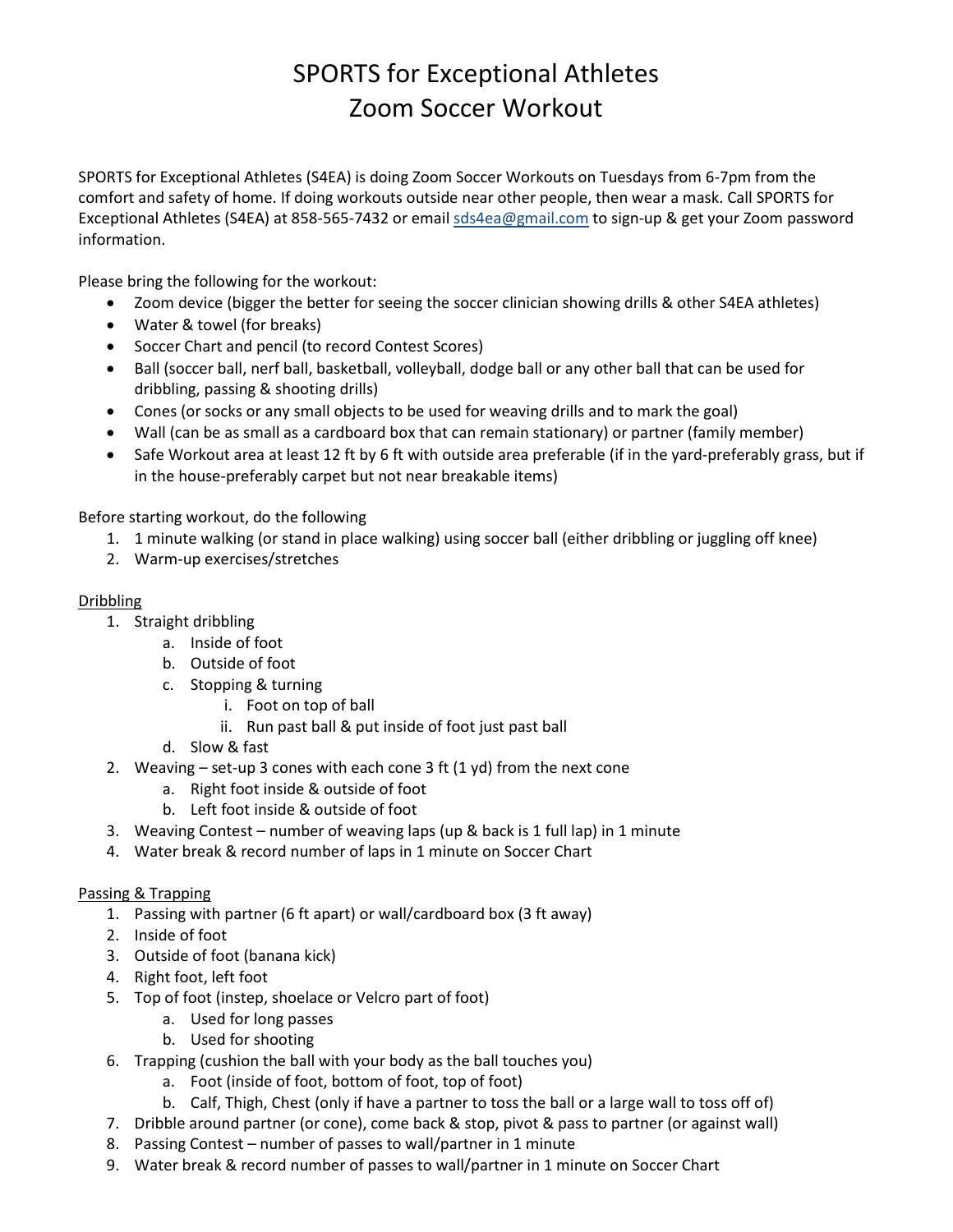# SPORTS for Exceptional Athletes Zoom Soccer Workout

SPORTS for Exceptional Athletes (S4EA) is doing Zoom Soccer Workouts on Tuesdays from 6-7pm from the comfort and safety of home. If doing workouts outside near other people, then wear a mask. Call SPORTS for Exceptional Athletes (S4EA) at 858-565-7432 or emai[l sds4ea@gmail.com](mailto:sds4ea@gmail.com) to sign-up & get your Zoom password information.

Please bring the following for the workout:

- Zoom device (bigger the better for seeing the soccer clinician showing drills & other S4EA athletes)
- Water & towel (for breaks)
- Soccer Chart and pencil (to record Contest Scores)
- Ball (soccer ball, nerf ball, basketball, volleyball, dodge ball or any other ball that can be used for dribbling, passing & shooting drills)
- Cones (or socks or any small objects to be used for weaving drills and to mark the goal)
- Wall (can be as small as a cardboard box that can remain stationary) or partner (family member)
- Safe Workout area at least 12 ft by 6 ft with outside area preferable (if in the yard-preferably grass, but if in the house-preferably carpet but not near breakable items)

Before starting workout, do the following

- 1. 1 minute walking (or stand in place walking) using soccer ball (either dribbling or juggling off knee)
- 2. Warm-up exercises/stretches

#### Dribbling

- 1. Straight dribbling
	- a. Inside of foot
	- b. Outside of foot
	- c. Stopping & turning
		- i. Foot on top of ball
			- ii. Run past ball & put inside of foot just past ball
	- d. Slow & fast
- 2. Weaving set-up 3 cones with each cone 3 ft  $(1 yd)$  from the next cone
	- a. Right foot inside & outside of foot
	- b. Left foot inside & outside of foot
- 3. Weaving Contest number of weaving laps (up & back is 1 full lap) in 1 minute
- 4. Water break & record number of laps in 1 minute on Soccer Chart

#### Passing & Trapping

- 1. Passing with partner (6 ft apart) or wall/cardboard box (3 ft away)
- 2. Inside of foot
- 3. Outside of foot (banana kick)
- 4. Right foot, left foot
- 5. Top of foot (instep, shoelace or Velcro part of foot)
	- a. Used for long passes
		- b. Used for shooting
- 6. Trapping (cushion the ball with your body as the ball touches you)
	- a. Foot (inside of foot, bottom of foot, top of foot)
	- b. Calf, Thigh, Chest (only if have a partner to toss the ball or a large wall to toss off of)
- 7. Dribble around partner (or cone), come back & stop, pivot & pass to partner (or against wall)
- 8. Passing Contest number of passes to wall/partner in 1 minute
- 9. Water break & record number of passes to wall/partner in 1 minute on Soccer Chart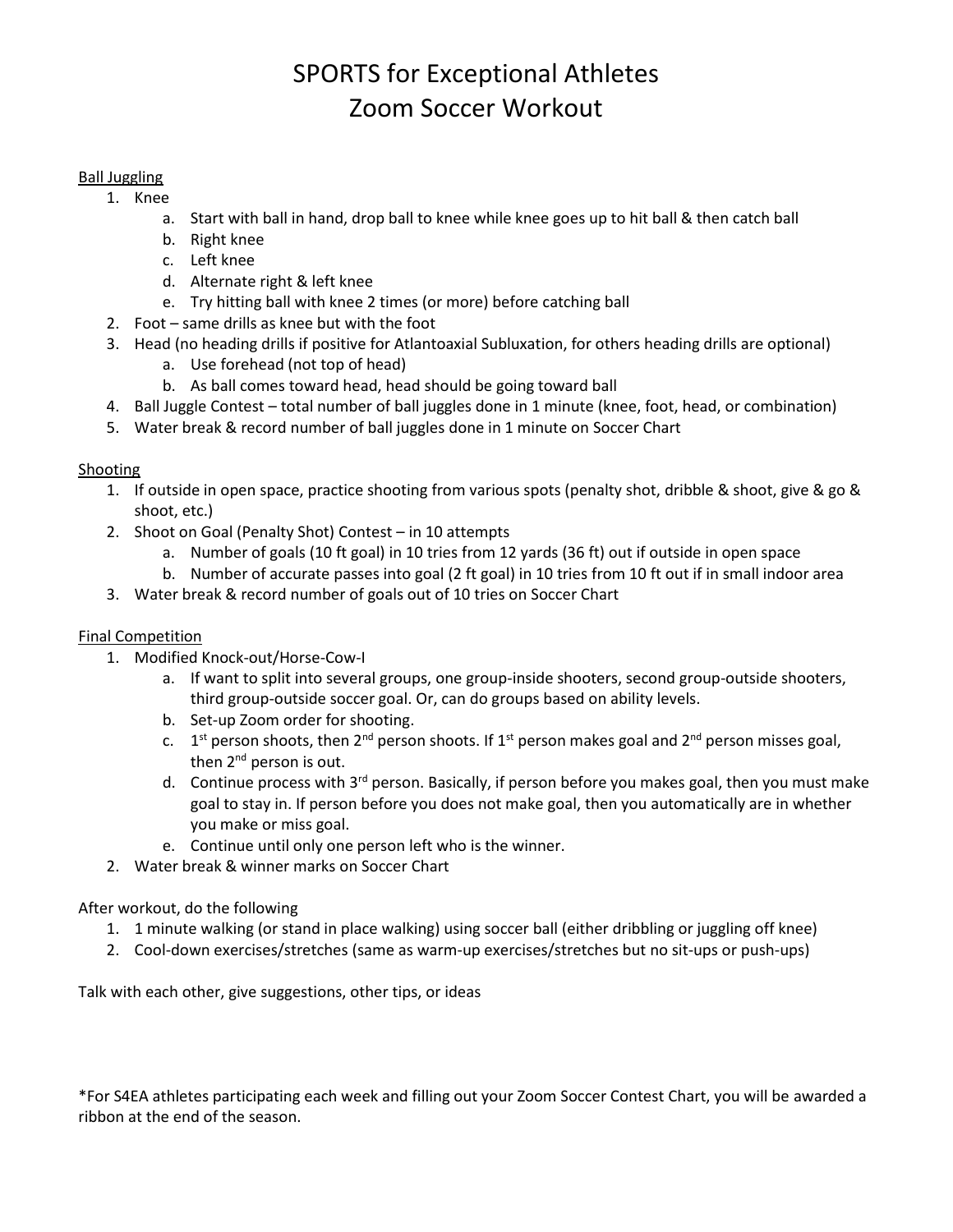### SPORTS for Exceptional Athletes Zoom Soccer Workout

#### Ball Juggling

- 1. Knee
	- a. Start with ball in hand, drop ball to knee while knee goes up to hit ball & then catch ball
	- b. Right knee
	- c. Left knee
	- d. Alternate right & left knee
	- e. Try hitting ball with knee 2 times (or more) before catching ball
- 2. Foot same drills as knee but with the foot
- 3. Head (no heading drills if positive for Atlantoaxial Subluxation, for others heading drills are optional)
	- a. Use forehead (not top of head)
	- b. As ball comes toward head, head should be going toward ball
- 4. Ball Juggle Contest total number of ball juggles done in 1 minute (knee, foot, head, or combination)
- 5. Water break & record number of ball juggles done in 1 minute on Soccer Chart

#### **Shooting**

- 1. If outside in open space, practice shooting from various spots (penalty shot, dribble & shoot, give & go & shoot, etc.)
- 2. Shoot on Goal (Penalty Shot) Contest in 10 attempts
	- a. Number of goals (10 ft goal) in 10 tries from 12 yards (36 ft) out if outside in open space
	- b. Number of accurate passes into goal (2 ft goal) in 10 tries from 10 ft out if in small indoor area
- 3. Water break & record number of goals out of 10 tries on Soccer Chart

#### Final Competition

- 1. Modified Knock-out/Horse-Cow-I
	- a. If want to split into several groups, one group-inside shooters, second group-outside shooters, third group-outside soccer goal. Or, can do groups based on ability levels.
	- b. Set-up Zoom order for shooting.
	- c. 1<sup>st</sup> person shoots, then 2<sup>nd</sup> person shoots. If 1<sup>st</sup> person makes goal and 2<sup>nd</sup> person misses goal, then 2<sup>nd</sup> person is out.
	- d. Continue process with  $3<sup>rd</sup>$  person. Basically, if person before you makes goal, then you must make goal to stay in. If person before you does not make goal, then you automatically are in whether you make or miss goal.
	- e. Continue until only one person left who is the winner.
- 2. Water break & winner marks on Soccer Chart

After workout, do the following

- 1. 1 minute walking (or stand in place walking) using soccer ball (either dribbling or juggling off knee)
- 2. Cool-down exercises/stretches (same as warm-up exercises/stretches but no sit-ups or push-ups)

Talk with each other, give suggestions, other tips, or ideas

\*For S4EA athletes participating each week and filling out your Zoom Soccer Contest Chart, you will be awarded a ribbon at the end of the season.